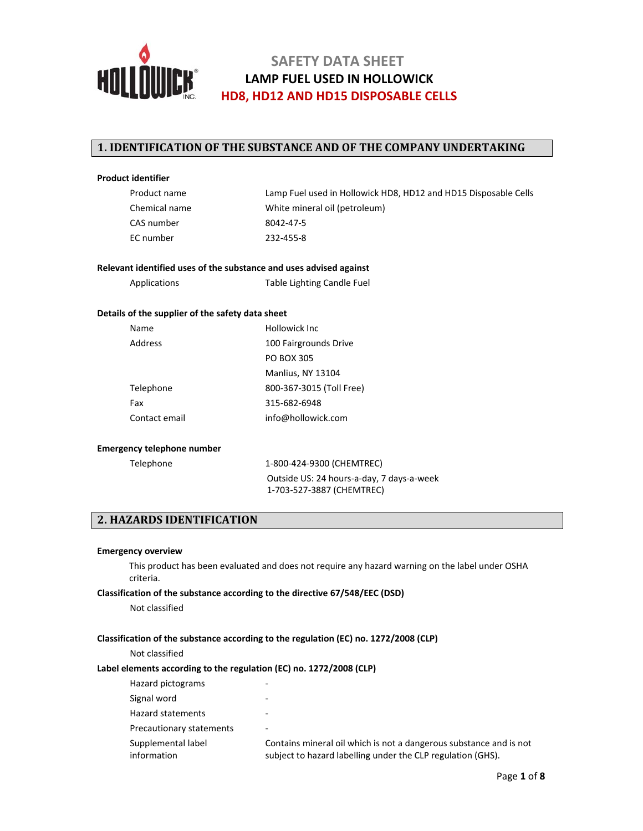

## **1. IDENTIFICATION OF THE SUBSTANCE AND OF THE COMPANY UNDERTAKING**

#### **Product identifier**

| Product name  |
|---------------|
| Chemical name |
| CAS number    |
| EC number     |

Lamp Fuel used in Hollowick HD8, HD12 and HD15 Disposable Cells White mineral oil (petroleum) 8042-47-5 232-455-8

### **Relevant identified uses of the substance and uses advised against**

Applications Table Lighting Candle Fuel

#### **Details of the supplier of the safety data sheet**

| Name          | Hollowick Inc.           |  |
|---------------|--------------------------|--|
| Address       | 100 Fairgrounds Drive    |  |
|               | <b>PO BOX 305</b>        |  |
|               | Manlius, NY 13104        |  |
| Telephone     | 800-367-3015 (Toll Free) |  |
| Fax           | 315-682-6948             |  |
| Contact email | info@hollowick.com       |  |

#### **Emergency telephone number**

Telephone 1-800-424-9300 (CHEMTREC) Outside US: 24 hours‐a‐day, 7 days‐a‐week 1‐703‐527‐3887 (CHEMTREC)

## **2. HAZARDS IDENTIFICATION**

#### **Emergency overview**

This product has been evaluated and does not require any hazard warning on the label under OSHA criteria.

#### **Classification of the substance according to the directive 67/548/EEC (DSD)**

Not classified

#### **Classification of the substance according to the regulation (EC) no. 1272/2008 (CLP)**

Not classified

### **Label elements according to the regulation (EC) no. 1272/2008 (CLP)**

| Hazard pictograms                 |                                                                                                                                   |
|-----------------------------------|-----------------------------------------------------------------------------------------------------------------------------------|
| Signal word                       |                                                                                                                                   |
| Hazard statements                 |                                                                                                                                   |
| Precautionary statements          |                                                                                                                                   |
| Supplemental label<br>information | Contains mineral oil which is not a dangerous substance and is not<br>subject to hazard labelling under the CLP regulation (GHS). |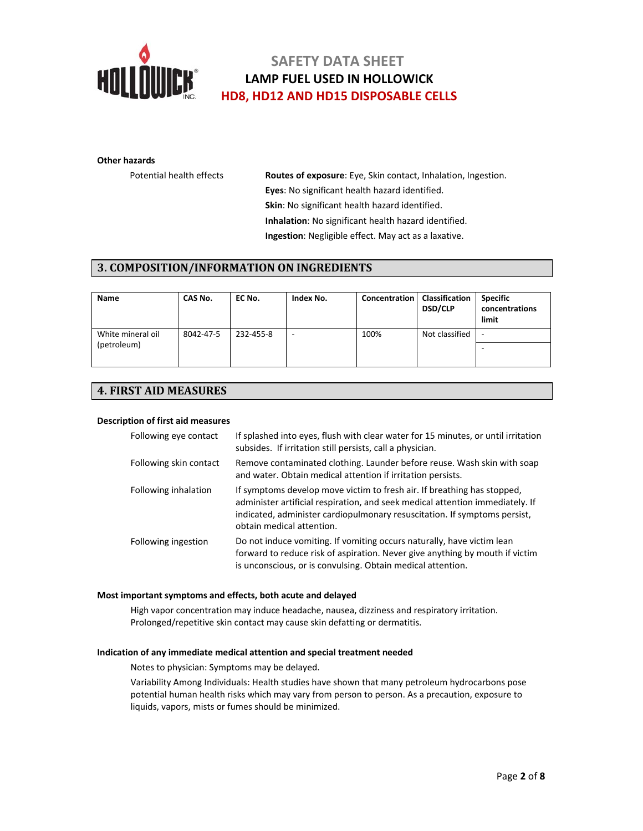

#### **Other hazards**

Potential health effects **Routes of exposure**: Eye, Skin contact, Inhalation, Ingestion. **Eyes**: No significant health hazard identified. **Skin**: No significant health hazard identified. **Inhalation**: No significant health hazard identified. **Ingestion**: Negligible effect. May act as a laxative.

## **3. COMPOSITION/INFORMATION ON INGREDIENTS**

| <b>Name</b>       | CAS No.   | EC No.    | Index No.                | Concentration   Classification | <b>DSD/CLP</b> | <b>Specific</b><br>concentrations<br>limit |
|-------------------|-----------|-----------|--------------------------|--------------------------------|----------------|--------------------------------------------|
| White mineral oil | 8042-47-5 | 232-455-8 | $\overline{\phantom{a}}$ | 100%                           | Not classified | -                                          |
| (petroleum)       |           |           |                          |                                |                |                                            |
|                   |           |           |                          |                                |                |                                            |

## **4. FIRST AID MEASURES**

### **Description of first aid measures**

| Following eye contact  | If splashed into eyes, flush with clear water for 15 minutes, or until irritation<br>subsides. If irritation still persists, call a physician.                                                                                                                     |
|------------------------|--------------------------------------------------------------------------------------------------------------------------------------------------------------------------------------------------------------------------------------------------------------------|
| Following skin contact | Remove contaminated clothing. Launder before reuse. Wash skin with soap<br>and water. Obtain medical attention if irritation persists.                                                                                                                             |
| Following inhalation   | If symptoms develop move victim to fresh air. If breathing has stopped,<br>administer artificial respiration, and seek medical attention immediately. If<br>indicated, administer cardiopulmonary resuscitation. If symptoms persist,<br>obtain medical attention. |
| Following ingestion    | Do not induce vomiting. If vomiting occurs naturally, have victim lean<br>forward to reduce risk of aspiration. Never give anything by mouth if victim<br>is unconscious, or is convulsing. Obtain medical attention.                                              |

#### **Most important symptoms and effects, both acute and delayed**

High vapor concentration may induce headache, nausea, dizziness and respiratory irritation. Prolonged/repetitive skin contact may cause skin defatting or dermatitis.

### **Indication of any immediate medical attention and special treatment needed**

Notes to physician: Symptoms may be delayed.

Variability Among Individuals: Health studies have shown that many petroleum hydrocarbons pose potential human health risks which may vary from person to person. As a precaution, exposure to liquids, vapors, mists or fumes should be minimized.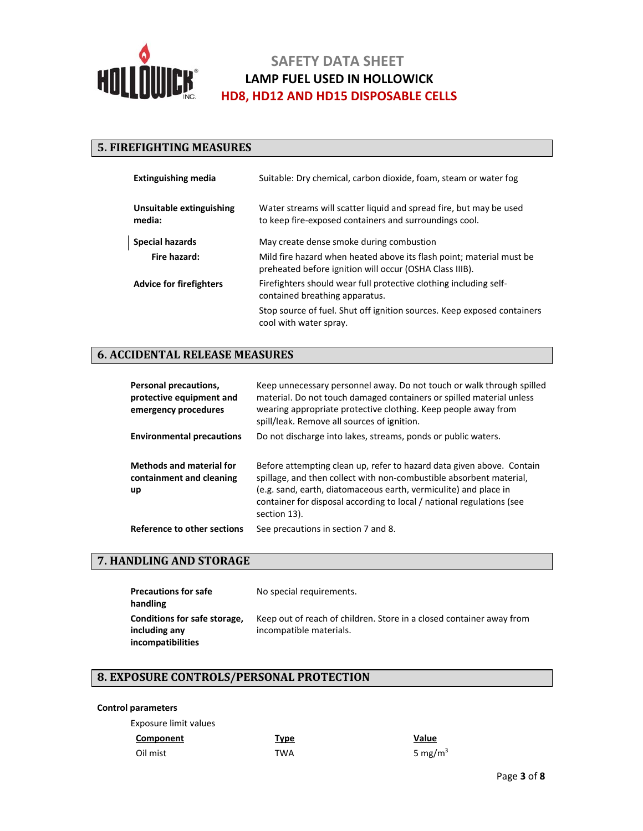

## **5. FIREFIGHTING MEASURES**

| <b>Extinguishing media</b>         | Suitable: Dry chemical, carbon dioxide, foam, steam or water fog                                                                |  |
|------------------------------------|---------------------------------------------------------------------------------------------------------------------------------|--|
| Unsuitable extinguishing<br>media: | Water streams will scatter liquid and spread fire, but may be used<br>to keep fire-exposed containers and surroundings cool.    |  |
| <b>Special hazards</b>             | May create dense smoke during combustion                                                                                        |  |
| Fire hazard:                       | Mild fire hazard when heated above its flash point; material must be<br>preheated before ignition will occur (OSHA Class IIIB). |  |
| <b>Advice for firefighters</b>     | Firefighters should wear full protective clothing including self-<br>contained breathing apparatus.                             |  |
|                                    | Stop source of fuel. Shut off ignition sources. Keep exposed containers<br>cool with water spray.                               |  |

## **6. ACCIDENTAL RELEASE MEASURES**

| Personal precautions,<br>protective equipment and<br>emergency procedures | Keep unnecessary personnel away. Do not touch or walk through spilled<br>material. Do not touch damaged containers or spilled material unless<br>wearing appropriate protective clothing. Keep people away from<br>spill/leak. Remove all sources of ignition.                                            |
|---------------------------------------------------------------------------|-----------------------------------------------------------------------------------------------------------------------------------------------------------------------------------------------------------------------------------------------------------------------------------------------------------|
| <b>Environmental precautions</b>                                          | Do not discharge into lakes, streams, ponds or public waters.                                                                                                                                                                                                                                             |
| <b>Methods and material for</b><br>containment and cleaning<br>up         | Before attempting clean up, refer to hazard data given above. Contain<br>spillage, and then collect with non-combustible absorbent material,<br>(e.g. sand, earth, diatomaceous earth, vermiculite) and place in<br>container for disposal according to local / national regulations (see<br>section 13). |
| Reference to other sections                                               | See precautions in section 7 and 8.                                                                                                                                                                                                                                                                       |

## **7. HANDLING AND STORAGE**

| <b>Precautions for safe</b><br>handling                                   | No special requirements.                                                                        |
|---------------------------------------------------------------------------|-------------------------------------------------------------------------------------------------|
| Conditions for safe storage,<br>including any<br><b>incompatibilities</b> | Keep out of reach of children. Store in a closed container away from<br>incompatible materials. |

# **8. EXPOSURE CONTROLS/PERSONAL PROTECTION**

### **Control parameters**

Exposure limit values

| Component | <u>Type</u> | Value      |
|-----------|-------------|------------|
| Oil mist  | TWA         | 5 mg/m $3$ |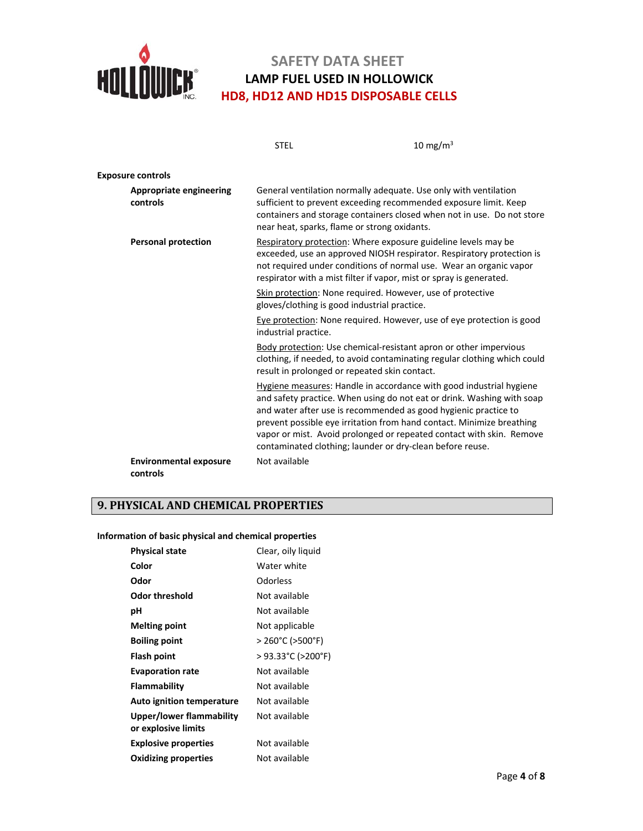

|                                            | <b>STEL</b>          | 10 mg/m $3$                                                                                                                                                                                                                                                                                                                                                                                                                    |
|--------------------------------------------|----------------------|--------------------------------------------------------------------------------------------------------------------------------------------------------------------------------------------------------------------------------------------------------------------------------------------------------------------------------------------------------------------------------------------------------------------------------|
| <b>Exposure controls</b>                   |                      |                                                                                                                                                                                                                                                                                                                                                                                                                                |
| <b>Appropriate engineering</b><br>controls |                      | General ventilation normally adequate. Use only with ventilation<br>sufficient to prevent exceeding recommended exposure limit. Keep<br>containers and storage containers closed when not in use. Do not store<br>near heat, sparks, flame or strong oxidants.                                                                                                                                                                 |
| <b>Personal protection</b>                 |                      | Respiratory protection: Where exposure guideline levels may be<br>exceeded, use an approved NIOSH respirator. Respiratory protection is<br>not required under conditions of normal use. Wear an organic vapor<br>respirator with a mist filter if vapor, mist or spray is generated.                                                                                                                                           |
|                                            |                      | Skin protection: None required. However, use of protective<br>gloves/clothing is good industrial practice.                                                                                                                                                                                                                                                                                                                     |
|                                            | industrial practice. | Eye protection: None required. However, use of eye protection is good                                                                                                                                                                                                                                                                                                                                                          |
|                                            |                      | Body protection: Use chemical-resistant apron or other impervious<br>clothing, if needed, to avoid contaminating regular clothing which could<br>result in prolonged or repeated skin contact.                                                                                                                                                                                                                                 |
|                                            |                      | Hygiene measures: Handle in accordance with good industrial hygiene<br>and safety practice. When using do not eat or drink. Washing with soap<br>and water after use is recommended as good hygienic practice to<br>prevent possible eye irritation from hand contact. Minimize breathing<br>vapor or mist. Avoid prolonged or repeated contact with skin. Remove<br>contaminated clothing; launder or dry-clean before reuse. |
| <b>Environmental exposure</b><br>controls  | Not available        |                                                                                                                                                                                                                                                                                                                                                                                                                                |

# **9. PHYSICAL AND CHEMICAL PROPERTIES**

### **Information of basic physical and chemical properties**

| <b>Physical state</b>                           | Clear, oily liquid     |
|-------------------------------------------------|------------------------|
| Color                                           | Water white            |
| Odor                                            | Odorless               |
| <b>Odor threshold</b>                           | Not available          |
| рH                                              | Not available          |
| <b>Melting point</b>                            | Not applicable         |
| <b>Boiling point</b>                            | $>$ 260°C ( $>$ 500°F) |
| Flash point                                     | > 93.33°C (>200°F)     |
| <b>Evaporation rate</b>                         | Not available          |
| Flammability                                    | Not available          |
| <b>Auto ignition temperature</b>                | Not available          |
| Upper/lower flammability<br>or explosive limits | Not available          |
| <b>Explosive properties</b>                     | Not available          |
| <b>Oxidizing properties</b>                     | Not available          |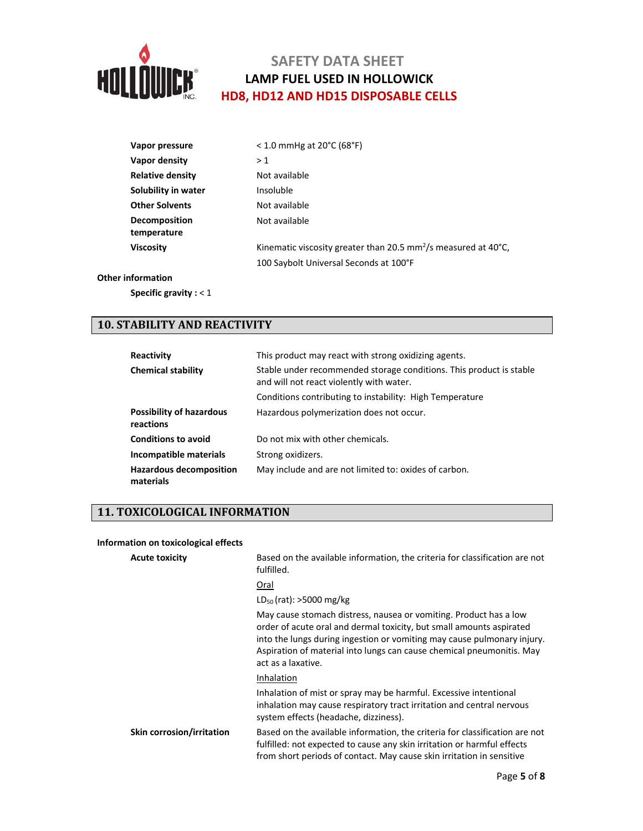

| Vapor pressure          | $<$ 1.0 mmHg at 20 $^{\circ}$ C (68 $^{\circ}$ F)                                       |
|-------------------------|-----------------------------------------------------------------------------------------|
| Vapor density           | >1                                                                                      |
| <b>Relative density</b> | Not available                                                                           |
| Solubility in water     | Insoluble                                                                               |
| <b>Other Solvents</b>   | Not available                                                                           |
| Decomposition           | Not available                                                                           |
| temperature             |                                                                                         |
| <b>Viscosity</b>        | Kinematic viscosity greater than 20.5 mm <sup>2</sup> /s measured at 40 <sup>o</sup> C. |
|                         | 100 Saybolt Universal Seconds at 100°F                                                  |

### **Other information**

**Specific gravity :** < 1

## **10. STABILITY AND REACTIVITY**

| Reactivity                                   | This product may react with strong oxidizing agents.                                                            |
|----------------------------------------------|-----------------------------------------------------------------------------------------------------------------|
| <b>Chemical stability</b>                    | Stable under recommended storage conditions. This product is stable<br>and will not react violently with water. |
|                                              | Conditions contributing to instability: High Temperature                                                        |
| <b>Possibility of hazardous</b><br>reactions | Hazardous polymerization does not occur.                                                                        |
| <b>Conditions to avoid</b>                   | Do not mix with other chemicals.                                                                                |
| Incompatible materials                       | Strong oxidizers.                                                                                               |
| <b>Hazardous decomposition</b><br>materials  | May include and are not limited to: oxides of carbon.                                                           |

## **11. TOXICOLOGICAL INFORMATION**

#### **Information on toxicological effects**

| <b>Acute toxicity</b>     | Based on the available information, the criteria for classification are not<br>fulfilled.                                                                                                                                                                                                                           |
|---------------------------|---------------------------------------------------------------------------------------------------------------------------------------------------------------------------------------------------------------------------------------------------------------------------------------------------------------------|
|                           | Oral                                                                                                                                                                                                                                                                                                                |
|                           | $LD_{50}$ (rat): >5000 mg/kg                                                                                                                                                                                                                                                                                        |
|                           | May cause stomach distress, nausea or vomiting. Product has a low<br>order of acute oral and dermal toxicity, but small amounts aspirated<br>into the lungs during ingestion or vomiting may cause pulmonary injury.<br>Aspiration of material into lungs can cause chemical pneumonitis. May<br>act as a laxative. |
|                           | Inhalation                                                                                                                                                                                                                                                                                                          |
|                           | Inhalation of mist or spray may be harmful. Excessive intentional<br>inhalation may cause respiratory tract irritation and central nervous<br>system effects (headache, dizziness).                                                                                                                                 |
| Skin corrosion/irritation | Based on the available information, the criteria for classification are not<br>fulfilled: not expected to cause any skin irritation or harmful effects<br>from short periods of contact. May cause skin irritation in sensitive                                                                                     |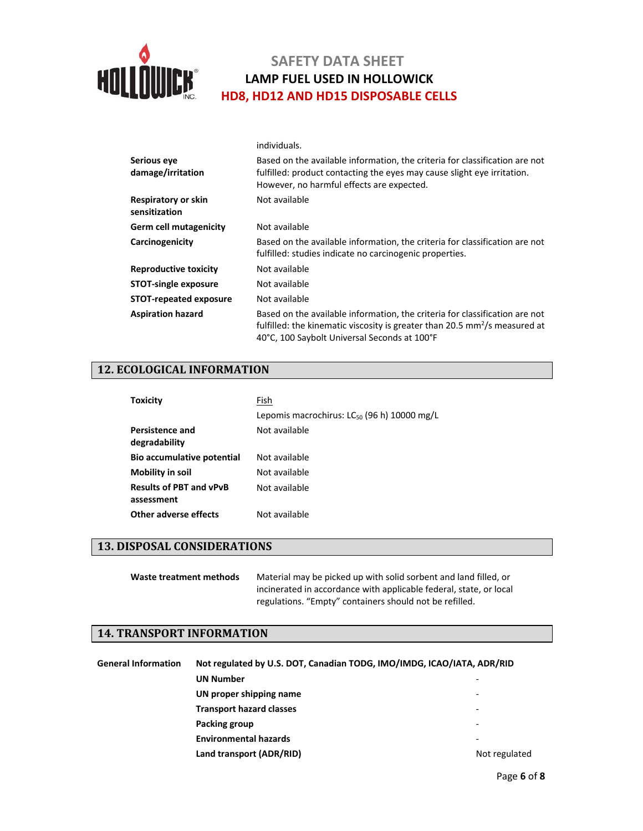

|                                      | individuals.                                                                                                                                                                                                              |  |
|--------------------------------------|---------------------------------------------------------------------------------------------------------------------------------------------------------------------------------------------------------------------------|--|
| Serious eve<br>damage/irritation     | Based on the available information, the criteria for classification are not<br>fulfilled: product contacting the eyes may cause slight eye irritation.<br>However, no harmful effects are expected.                       |  |
| Respiratory or skin<br>sensitization | Not available                                                                                                                                                                                                             |  |
| Germ cell mutagenicity               | Not available                                                                                                                                                                                                             |  |
| Carcinogenicity                      | Based on the available information, the criteria for classification are not<br>fulfilled: studies indicate no carcinogenic properties.                                                                                    |  |
| <b>Reproductive toxicity</b>         | Not available                                                                                                                                                                                                             |  |
| <b>STOT-single exposure</b>          | Not available                                                                                                                                                                                                             |  |
| <b>STOT-repeated exposure</b>        | Not available                                                                                                                                                                                                             |  |
| <b>Aspiration hazard</b>             | Based on the available information, the criteria for classification are not<br>fulfilled: the kinematic viscosity is greater than 20.5 $\text{mm}^2/\text{s}$ measured at<br>40°C, 100 Saybolt Universal Seconds at 100°F |  |

## **12. ECOLOGICAL INFORMATION**

| <b>Toxicity</b>                              | Fish                                                    |
|----------------------------------------------|---------------------------------------------------------|
|                                              | Lepomis macrochirus: LC <sub>50</sub> (96 h) 10000 mg/L |
| Persistence and<br>degradability             | Not available                                           |
| Bio accumulative potential                   | Not available                                           |
| Mobility in soil                             | Not available                                           |
| <b>Results of PBT and vPvB</b><br>assessment | Not available                                           |
| <b>Other adverse effects</b>                 | Not available                                           |

### **13. DISPOSAL CONSIDERATIONS**

**Waste treatment methods** Material may be picked up with solid sorbent and land filled, or incinerated in accordance with applicable federal, state, or local regulations. "Empty" containers should not be refilled.

### **14. TRANSPORT INFORMATION**

| <b>General Information</b> | Not regulated by U.S. DOT, Canadian TODG, IMO/IMDG, ICAO/IATA, ADR/RID |               |  |
|----------------------------|------------------------------------------------------------------------|---------------|--|
|                            | <b>UN Number</b>                                                       |               |  |
|                            | UN proper shipping name                                                | -             |  |
|                            | <b>Transport hazard classes</b>                                        | -             |  |
|                            | Packing group                                                          | -             |  |
|                            | <b>Environmental hazards</b>                                           | -             |  |
|                            | Land transport (ADR/RID)                                               | Not regulated |  |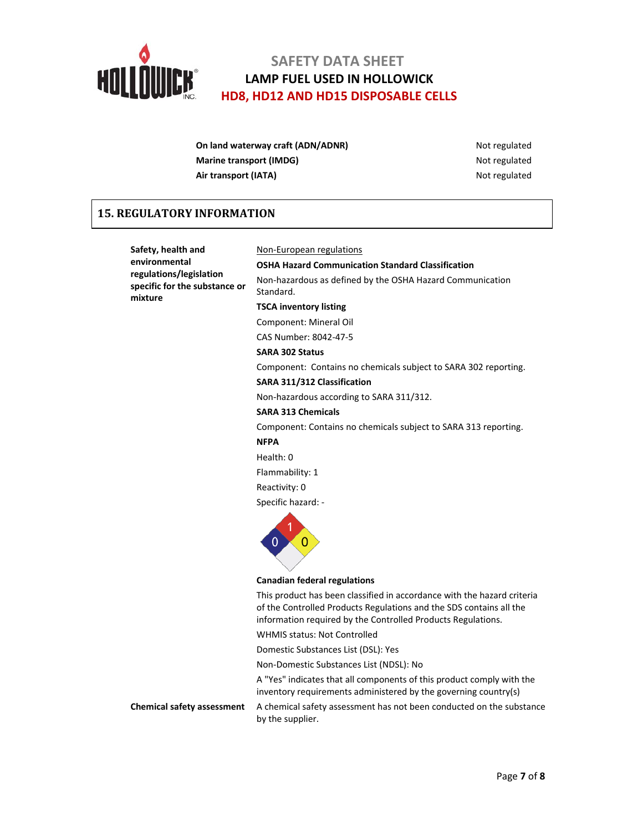

| On land waterway craft (ADN/ADNR) | Not regulated |
|-----------------------------------|---------------|
| Marine transport (IMDG)           | Not regulated |
| Air transport (IATA)              | Not regulated |

## **15. REGULATORY INFORMATION**

**Safety, health and environmental regulations/legislation specific for the substance or mixture**

### Non‐European regulations

**OSHA Hazard Communication Standard Classification** Non‐hazardous as defined by the OSHA Hazard Communication Standard.

**TSCA inventory listing**

Component: Mineral Oil

CAS Number: 8042‐47‐5

## **SARA 302 Status**

Component: Contains no chemicals subject to SARA 302 reporting.

**SARA 311/312 Classification**

Non‐hazardous according to SARA 311/312.

#### **SARA 313 Chemicals**

Component: Contains no chemicals subject to SARA 313 reporting.

### **NFPA**

Health: 0

Flammability: 1

Reactivity: 0

Specific hazard: ‐



**Canadian federal regulations**

This product has been classified in accordance with the hazard criteria of the Controlled Products Regulations and the SDS contains all the information required by the Controlled Products Regulations.

WHMIS status: Not Controlled

Domestic Substances List (DSL): Yes

Non‐Domestic Substances List (NDSL): No

A "Yes" indicates that all components of this product comply with the inventory requirements administered by the governing country(s)

**Chemical safety assessment** A chemical safety assessment has not been conducted on the substance by the supplier.